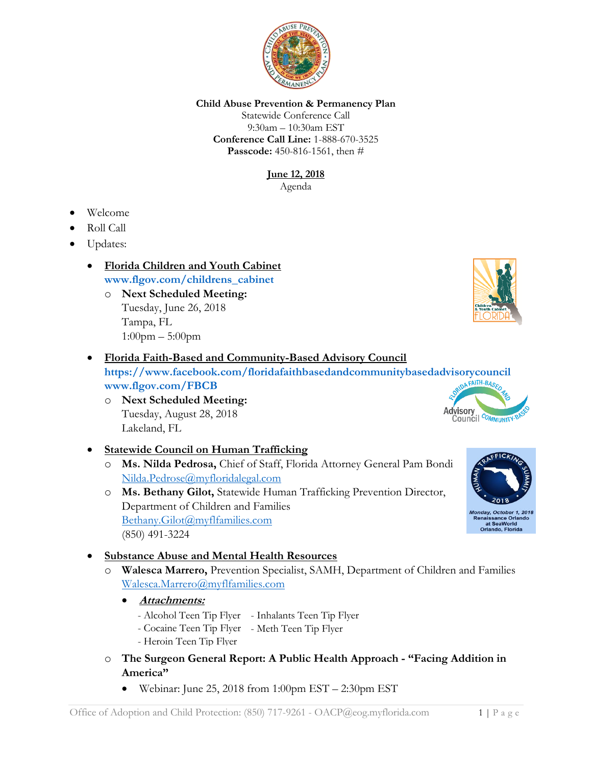

#### **Child Abuse Prevention & Permanency Plan**

Statewide Conference Call 9:30am – 10:30am EST **Conference Call Line:** 1-888-670-3525 **Passcode:** 450-816-1561, then #

> **June 12, 2018** Agenda

- Welcome
- Roll Call
- Updates:
	- **Florida Children and Youth Cabinet [www.flgov.com/childrens\\_cabinet](http://www.flgov.com/childrens_cabinet)** 
		- o **Next Scheduled Meeting:** Tuesday, June 26, 2018 Tampa, FL 1:00pm – 5:00pm

# • **Florida Faith-Based and Community-Based Advisory Council**

**<https://www.facebook.com/floridafaithbasedandcommunitybasedadvisorycouncil> [www.flgov.com/FBCB](http://www.flgov.com/FBCB)**

- o **Next Scheduled Meeting:**  Tuesday, August 28, 2018 Lakeland, FL
- **Statewide Council on Human Trafficking**
	- o **Ms. Nilda Pedrosa,** Chief of Staff, Florida Attorney General Pam Bondi [Nilda.Pedrose@myfloridalegal.com](mailto:Nilda.Pedrose@myfloridalegal.com)
	- o **Ms. Bethany Gilot,** Statewide Human Trafficking Prevention Director, Department of Children and Families [Bethany.Gilot@myflfamilies.com](mailto:Bethany.Gilot@myflfamilies.com) (850) 491-3224

## • **Substance Abuse and Mental Health Resources**

- o **Walesca Marrero,** Prevention Specialist, SAMH, Department of Children and Families [Walesca.Marrero@myflfamilies.com](mailto:Walesca.Marrero@myflfamilies.com)
	- **Attachments:** 
		- Alcohol Teen Tip Flyer Inhalants Teen Tip Flyer
		- Cocaine Teen Tip Flyer Meth Teen Tip Flyer
		- Heroin Teen Tip Flyer
- o **The Surgeon General Report: A Public Health Approach - "Facing Addition in America"**
	- Webinar: June 25, 2018 from 1:00pm EST 2:30pm EST





**Advisory** 

Council COMMUNITY